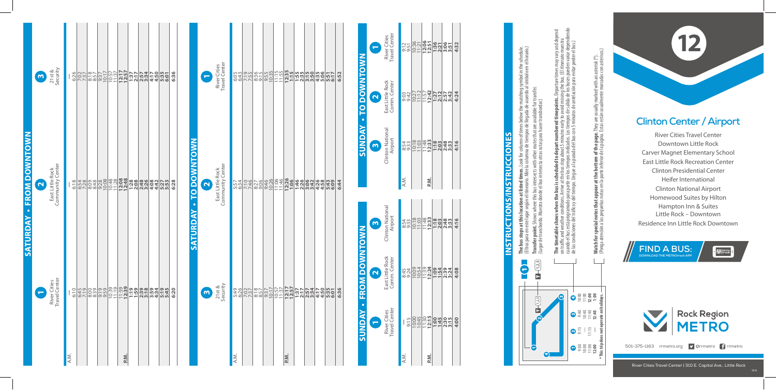

River Cities Travel Center Downtown Little Rock Carver Magnet Elementary School East Little Rock Recreation Center Clinton Presidential Center Heifer International Clinton National Airport Homewood Suites by Hilton Hampton Inn & Suites Little Rock – Downtown Residence Inn Little Rock Downtown

**12**



**The bus stops at this location at listed times.** Look for column of times below the matching symbol in the schedule. matching symbol in the schedule.<br>acuerdo al símbolo en el horario.) (El bus para en este lugar según el itinerario. Mire la columna de tiempos de llegada de acuerdo al símbolo en el horario.) **Transfer point.** Shows where this bus intersects with other routes that are available for transfer. column of times below the i<br>a de tiempos de llegada de **The bus stops at this location at listed times.** Look for<br>(El bus para en este lugar según el itinerario. Mire la colum

**FIND A BUS: DOWNLOAD THE METROtrack APP**

 $\mathbb{Z}$  METRO

(Lugar de transbordo. Muestra donde el bus intersecta otras rutas para hacer transbordar.) **Transfer point**<br>(Lugar de transl

3 4

m,

4

1 9:00 10:00 11:00 **12:00**

 $2\frac{2}{5}$   $1\frac{1}{2}$   $1$ 

9:40 10:40 11:40 **12:40**



 $\sim$ 

10:00 11:00 **12:00 1:00**

cuando el bus está programado para partir en los tiempos indicados. Los tiempos de salida de los buses pueden variar dependiendo **The timetable shows when the bus is scheduled to depart numbered timepoints.** Departure times may vary and depend on traffic and weather conditions. Arrive at the bus stop about 5 minutes early to avoid missing the bus. (El itinerario muestra de las condiciones del tráco y del tiempo. Llegue a la parada del bus con 5 minutos de antelación para evitar perder el bus.) and re times<br><sub>ous. (El it</sub> da poin ිස් ප to depa hda 트 그 s sche<br>at the tir en l<br>o. Lleg  $\sum$ **en the bus i**<br>itions. Arrive está programado para <sub>l</sub><br>nes del tráfico y del tier table shows when<br>and weather condit **The time**<br>on traffic<br>cuando el<br>de las con

**\* This trip does not operate on holidays.**

Watch for special notes that appear at the bottom of the page. They are usually marked with an asterisk (\*).<br>(Ponga atención a las pequeñas notas en la parte inferior de la página. Estas están usualmente marcadas con aster (Ponga atención a las pequeñas notas en la parte inferior de la página. Estas están usualmente marcadas con asterisco.) **Watch for special notes that appear at the bottom of the page.** They are usually marked with an asterisk (\*).

## **INSTRUCTIONS/INSTRUCCIONES Instructions/Instrucciones**

|                                 | $\boldsymbol{m}$        | $21$ st &<br>Security                | 6:26 |                                                                                                                                      | $\begin{array}{ c c c c c }\hline 7.37 & 8.57 & 7.17 \\ \hline 7.37 & 8.57 & 7.17 \\ \hline 8.57 & 9.37 & 7.17 \\ \hline \end{array}$ | $\frac{10:57}{12:17}$                                                     |                       | <b>122242005123</b><br> 22224200512<br> 222420051 | 6:36 |                                 | $\overline{\phantom{a}}$ | River Cities<br>Travel Center        |      | 6:3195 |  |      |  |  | 6:52 | <b>DOWNTOWN</b><br>$\overline{a}$<br>$\bullet$ | $\blacksquare$<br>$\overline{\mathbf{N}}$ | River Cities<br>Travel Center<br>East Little Rock<br>Comm. Center |  |
|---------------------------------|-------------------------|--------------------------------------|------|--------------------------------------------------------------------------------------------------------------------------------------|---------------------------------------------------------------------------------------------------------------------------------------|---------------------------------------------------------------------------|-----------------------|---------------------------------------------------|------|---------------------------------|--------------------------|--------------------------------------|------|--------|--|------|--|--|------|------------------------------------------------|-------------------------------------------|-------------------------------------------------------------------|--|
| <b>SATURDAY - FROM DOWNTOWN</b> | $\overline{\mathbf{N}}$ | East Little Rock<br>Community Center |      |                                                                                                                                      |                                                                                                                                       | $\begin{array}{c c} 10:48 \\ 11:28 \\ \hline 12:39 \\ \hline \end{array}$ | <b>28886</b><br>28888 | 432753<br>445275                                  | 6:28 | <b>TO DOWNTOWN</b><br>$\bullet$ | $\mathbf{\Omega}$        | Community Center<br>East Little Rock |      |        |  |      |  |  | 6:44 | <b>AUNDAY</b>                                  | $\mathbf{\omega}$                         | Clinton National<br>Airport                                       |  |
|                                 | Q                       | River Cities<br>Travel Center        |      | <u>့</u><br>မြန်မာဒြစ္ကိုင္ပ်က္တိုင္ပ်က္လို <b>င္ ၁ ရက္တစ္က မွာ မန္</b><br>မြန္မာဒြစ္ကိုင္ ၁ ရက္တစ္က မွာ မွာ မွာ မွာ မွာ မွာ မွာ မွာ |                                                                                                                                       |                                                                           |                       |                                                   | 6:20 | SATURDAY                        | $\boldsymbol{\omega}$    | $21st &$<br>Security                 |      |        |  |      |  |  | 6:3  | <b>OM DOWNTOWN</b><br>E                        | $\mathbf{\omega}$<br>$\mathbf{\Omega}$    | Clinton National<br>Airport<br>East Little Rock<br>Comm. Center   |  |
|                                 |                         |                                      | A.M. |                                                                                                                                      |                                                                                                                                       | P.M.                                                                      |                       |                                                   |      |                                 |                          |                                      | A.M. |        |  | P.M. |  |  |      | $\bullet$<br>SUNDAY                            | $\overline{\phantom{0}}$                  | River Cities<br>Travel Center                                     |  |

|      | River Cities<br>Travel Center | East Little Rock | Clinton National<br>Airport |
|------|-------------------------------|------------------|-----------------------------|
|      |                               | Comm. Center     |                             |
| A.M. |                               |                  |                             |
|      | 9:15                          | 8:45<br>9:24     | 8:54<br>9:33                |
|      | 10:00                         |                  |                             |
|      |                               | 10:09            | 10:18                       |
|      |                               |                  | $11:48$<br>12:33            |
| P.M. | $11:30$<br>$12:15$            | $11:39$<br>12:24 |                             |
|      | 1:00                          | $1:59$<br>$7:59$ | 1:18<br>2:03                |
|      |                               |                  |                             |
|      |                               |                  |                             |
|      | $2:30$<br>$3:15$              | 2:34<br>3:24     | 2:33<br>2:33                |
|      | 4:00                          | 4:08             | 4:16                        |

|      | ń                           | East Little Rock<br>Ñ | River Cities<br>Travel Center |
|------|-----------------------------|-----------------------|-------------------------------|
|      | Clinton National<br>Airport | Comm. Center          |                               |
| A.M. | 8:54<br>9:33<br>9:33        | 9:42                  | 9:12                          |
|      |                             |                       |                               |
|      | 10:18                       | 10:27                 | 10:36                         |
|      |                             |                       | 1:2                           |
|      | $11:48$<br>12:33            | 11:57                 | 12:06<br>12:51                |
| P.M. |                             | 12:42                 |                               |
|      | $\frac{1:18}{2:03}$         | 1:27                  | 1:36<br>2:21                  |
|      |                             | 2:12                  |                               |
|      | 2:48                        | 2:57                  | 3:06                          |
|      | 3:33                        | 3:42                  | 3:51                          |
|      | 4:16                        | 4:24                  | 4:32                          |
|      |                             |                       |                               |